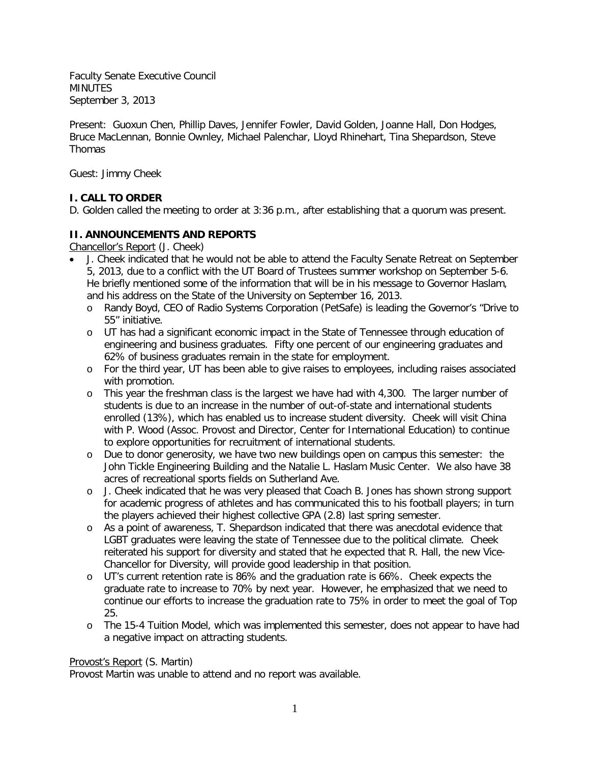Faculty Senate Executive Council MINUTES September 3, 2013

Present: Guoxun Chen, Phillip Daves, Jennifer Fowler, David Golden, Joanne Hall, Don Hodges, Bruce MacLennan, Bonnie Ownley, Michael Palenchar, Lloyd Rhinehart, Tina Shepardson, Steve **Thomas** 

Guest: Jimmy Cheek

# **I. CALL TO ORDER**

D. Golden called the meeting to order at 3:36 p.m., after establishing that a quorum was present.

# **II. ANNOUNCEMENTS AND REPORTS**

Chancellor's Report (J. Cheek)

- J. Cheek indicated that he would not be able to attend the Faculty Senate Retreat on September 5, 2013, due to a conflict with the UT Board of Trustees summer workshop on September 5-6. He briefly mentioned some of the information that will be in his message to Governor Haslam, and his address on the State of the University on September 16, 2013.
	- o Randy Boyd, CEO of Radio Systems Corporation (PetSafe) is leading the Governor's "Drive to 55" initiative.
	- o UT has had a significant economic impact in the State of Tennessee through education of engineering and business graduates. Fifty one percent of our engineering graduates and 62% of business graduates remain in the state for employment.
	- o For the third year, UT has been able to give raises to employees, including raises associated with promotion.
	- o This year the freshman class is the largest we have had with 4,300. The larger number of students is due to an increase in the number of out-of-state and international students enrolled (13%), which has enabled us to increase student diversity. Cheek will visit China with P. Wood (Assoc. Provost and Director, Center for International Education) to continue to explore opportunities for recruitment of international students.
	- o Due to donor generosity, we have two new buildings open on campus this semester: the John Tickle Engineering Building and the Natalie L. Haslam Music Center. We also have 38 acres of recreational sports fields on Sutherland Ave.
	- o J. Cheek indicated that he was very pleased that Coach B. Jones has shown strong support for academic progress of athletes and has communicated this to his football players; in turn the players achieved their highest collective GPA (2.8) last spring semester.
	- o As a point of awareness, T. Shepardson indicated that there was anecdotal evidence that LGBT graduates were leaving the state of Tennessee due to the political climate. Cheek reiterated his support for diversity and stated that he expected that R. Hall, the new Vice-Chancellor for Diversity, will provide good leadership in that position.
	- o UT's current retention rate is 86% and the graduation rate is 66%. Cheek expects the graduate rate to increase to 70% by next year. However, he emphasized that we need to continue our efforts to increase the graduation rate to 75% in order to meet the goal of Top 25.
	- o The 15-4 Tuition Model, which was implemented this semester, does not appear to have had a negative impact on attracting students.

# Provost's Report (S. Martin)

Provost Martin was unable to attend and no report was available.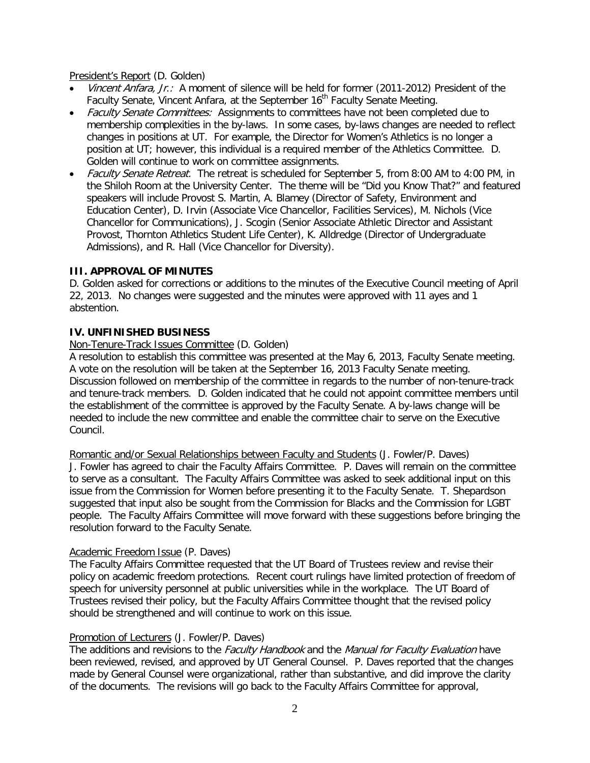President's Report (D. Golden)

- Vincent Anfara, Jr.: A moment of silence will be held for former (2011-2012) President of the Faculty Senate, Vincent Anfara, at the September 16<sup>th</sup> Faculty Senate Meeting.
- Faculty Senate Committees: Assignments to committees have not been completed due to membership complexities in the by-laws. In some cases, by-laws changes are needed to reflect changes in positions at UT. For example, the Director for Women's Athletics is no longer a position at UT; however, this individual is a required member of the Athletics Committee. D. Golden will continue to work on committee assignments.
- Faculty Senate Retreat. The retreat is scheduled for September 5, from 8:00 AM to 4:00 PM, in the Shiloh Room at the University Center. The theme will be "Did you Know That?" and featured speakers will include Provost S. Martin, A. Blamey (Director of Safety, Environment and Education Center), D. Irvin (Associate Vice Chancellor, Facilities Services), M. Nichols (Vice Chancellor for Communications), J. Scogin (Senior Associate Athletic Director and Assistant Provost, Thornton Athletics Student Life Center), K. Alldredge (Director of Undergraduate Admissions), and R. Hall (Vice Chancellor for Diversity).

# **III. APPROVAL OF MINUTES**

D. Golden asked for corrections or additions to the minutes of the Executive Council meeting of April 22, 2013. No changes were suggested and the minutes were approved with 11 ayes and 1 abstention.

## **IV. UNFINISHED BUSINESS**

## Non-Tenure-Track Issues Committee (D. Golden)

A resolution to establish this committee was presented at the May 6, 2013, Faculty Senate meeting. A vote on the resolution will be taken at the September 16, 2013 Faculty Senate meeting. Discussion followed on membership of the committee in regards to the number of non-tenure-track and tenure-track members. D. Golden indicated that he could not appoint committee members until the establishment of the committee is approved by the Faculty Senate. A by-laws change will be needed to include the new committee and enable the committee chair to serve on the Executive Council.

Romantic and/or Sexual Relationships between Faculty and Students (J. Fowler/P. Daves)

J. Fowler has agreed to chair the Faculty Affairs Committee. P. Daves will remain on the committee to serve as a consultant. The Faculty Affairs Committee was asked to seek additional input on this issue from the Commission for Women before presenting it to the Faculty Senate. T. Shepardson suggested that input also be sought from the Commission for Blacks and the Commission for LGBT people. The Faculty Affairs Committee will move forward with these suggestions before bringing the resolution forward to the Faculty Senate.

## Academic Freedom Issue (P. Daves)

The Faculty Affairs Committee requested that the UT Board of Trustees review and revise their policy on academic freedom protections. Recent court rulings have limited protection of freedom of speech for university personnel at public universities while in the workplace. The UT Board of Trustees revised their policy, but the Faculty Affairs Committee thought that the revised policy should be strengthened and will continue to work on this issue.

## Promotion of Lecturers (J. Fowler/P. Daves)

The additions and revisions to the Faculty Handbook and the Manual for Faculty Evaluation have been reviewed, revised, and approved by UT General Counsel. P. Daves reported that the changes made by General Counsel were organizational, rather than substantive, and did improve the clarity of the documents. The revisions will go back to the Faculty Affairs Committee for approval,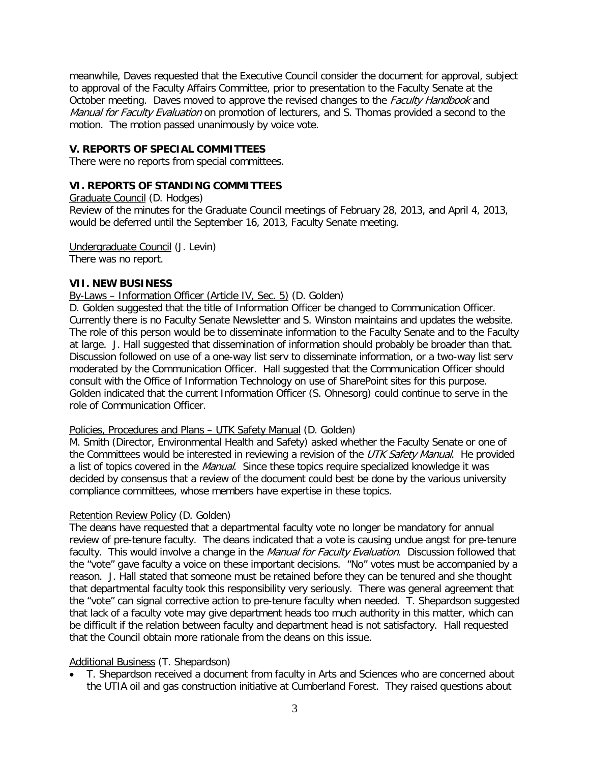meanwhile, Daves requested that the Executive Council consider the document for approval, subject to approval of the Faculty Affairs Committee, prior to presentation to the Faculty Senate at the October meeting. Daves moved to approve the revised changes to the *Faculty Handbook* and Manual for Faculty Evaluation on promotion of lecturers, and S. Thomas provided a second to the motion. The motion passed unanimously by voice vote.

## **V. REPORTS OF SPECIAL COMMITTEES**

There were no reports from special committees.

## **VI. REPORTS OF STANDING COMMITTEES**

Graduate Council (D. Hodges)

Review of the minutes for the Graduate Council meetings of February 28, 2013, and April 4, 2013, would be deferred until the September 16, 2013, Faculty Senate meeting.

Undergraduate Council (J. Levin) There was no report.

## **VII. NEW BUSINESS**

#### By-Laws – Information Officer (Article IV, Sec. 5) (D. Golden)

D. Golden suggested that the title of Information Officer be changed to Communication Officer. Currently there is no Faculty Senate Newsletter and S. Winston maintains and updates the website. The role of this person would be to disseminate information to the Faculty Senate and to the Faculty at large. J. Hall suggested that dissemination of information should probably be broader than that. Discussion followed on use of a one-way list serv to disseminate information, or a two-way list serv moderated by the Communication Officer. Hall suggested that the Communication Officer should consult with the Office of Information Technology on use of SharePoint sites for this purpose. Golden indicated that the current Information Officer (S. Ohnesorg) could continue to serve in the role of Communication Officer.

## Policies, Procedures and Plans – UTK Safety Manual (D. Golden)

M. Smith (Director, Environmental Health and Safety) asked whether the Faculty Senate or one of the Committees would be interested in reviewing a revision of the UTK Safety Manual. He provided a list of topics covered in the Manual. Since these topics require specialized knowledge it was decided by consensus that a review of the document could best be done by the various university compliance committees, whose members have expertise in these topics.

## Retention Review Policy (D. Golden)

The deans have requested that a departmental faculty vote no longer be mandatory for annual review of pre-tenure faculty. The deans indicated that a vote is causing undue angst for pre-tenure faculty. This would involve a change in the Manual for Faculty Evaluation. Discussion followed that the "vote" gave faculty a voice on these important decisions. "No" votes must be accompanied by a reason. J. Hall stated that someone must be retained before they can be tenured and she thought that departmental faculty took this responsibility very seriously. There was general agreement that the "vote" can signal corrective action to pre-tenure faculty when needed. T. Shepardson suggested that lack of a faculty vote may give department heads too much authority in this matter, which can be difficult if the relation between faculty and department head is not satisfactory. Hall requested that the Council obtain more rationale from the deans on this issue.

## Additional Business (T. Shepardson)

• T. Shepardson received a document from faculty in Arts and Sciences who are concerned about the UTIA oil and gas construction initiative at Cumberland Forest. They raised questions about